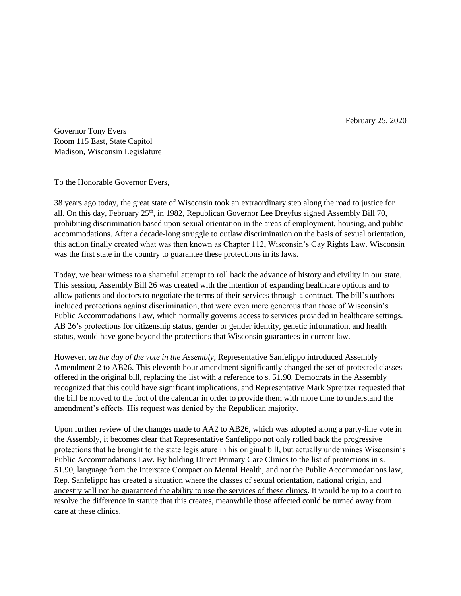February 25, 2020

Governor Tony Evers Room 115 East, State Capitol Madison, Wisconsin Legislature

To the Honorable Governor Evers,

38 years ago today, the great state of Wisconsin took an extraordinary step along the road to justice for all. On this day, February 25<sup>th</sup>, in 1982, Republican Governor Lee Dreyfus signed Assembly Bill 70, prohibiting discrimination based upon sexual orientation in the areas of employment, housing, and public accommodations. After a decade-long struggle to outlaw discrimination on the basis of sexual orientation, this action finally created what was then known as Chapter 112, Wisconsin's Gay Rights Law. Wisconsin was the first state in the country to guarantee these protections in its laws.

Today, we bear witness to a shameful attempt to roll back the advance of history and civility in our state. This session, Assembly Bill 26 was created with the intention of expanding healthcare options and to allow patients and doctors to negotiate the terms of their services through a contract. The bill's authors included protections against discrimination, that were even more generous than those of Wisconsin's Public Accommodations Law, which normally governs access to services provided in healthcare settings. AB 26's protections for citizenship status, gender or gender identity, genetic information, and health status, would have gone beyond the protections that Wisconsin guarantees in current law.

However, *on the day of the vote in the Assembly*, Representative Sanfelippo introduced Assembly Amendment 2 to AB26. This eleventh hour amendment significantly changed the set of protected classes offered in the original bill, replacing the list with a reference to s. 51.90. Democrats in the Assembly recognized that this could have significant implications, and Representative Mark Spreitzer requested that the bill be moved to the foot of the calendar in order to provide them with more time to understand the amendment's effects. His request was denied by the Republican majority.

Upon further review of the changes made to AA2 to AB26, which was adopted along a party-line vote in the Assembly, it becomes clear that Representative Sanfelippo not only rolled back the progressive protections that he brought to the state legislature in his original bill, but actually undermines Wisconsin's Public Accommodations Law. By holding Direct Primary Care Clinics to the list of protections in s. 51.90, language from the Interstate Compact on Mental Health, and not the Public Accommodations law, Rep. Sanfelippo has created a situation where the classes of sexual orientation, national origin, and ancestry will not be guaranteed the ability to use the services of these clinics. It would be up to a court to resolve the difference in statute that this creates, meanwhile those affected could be turned away from care at these clinics.